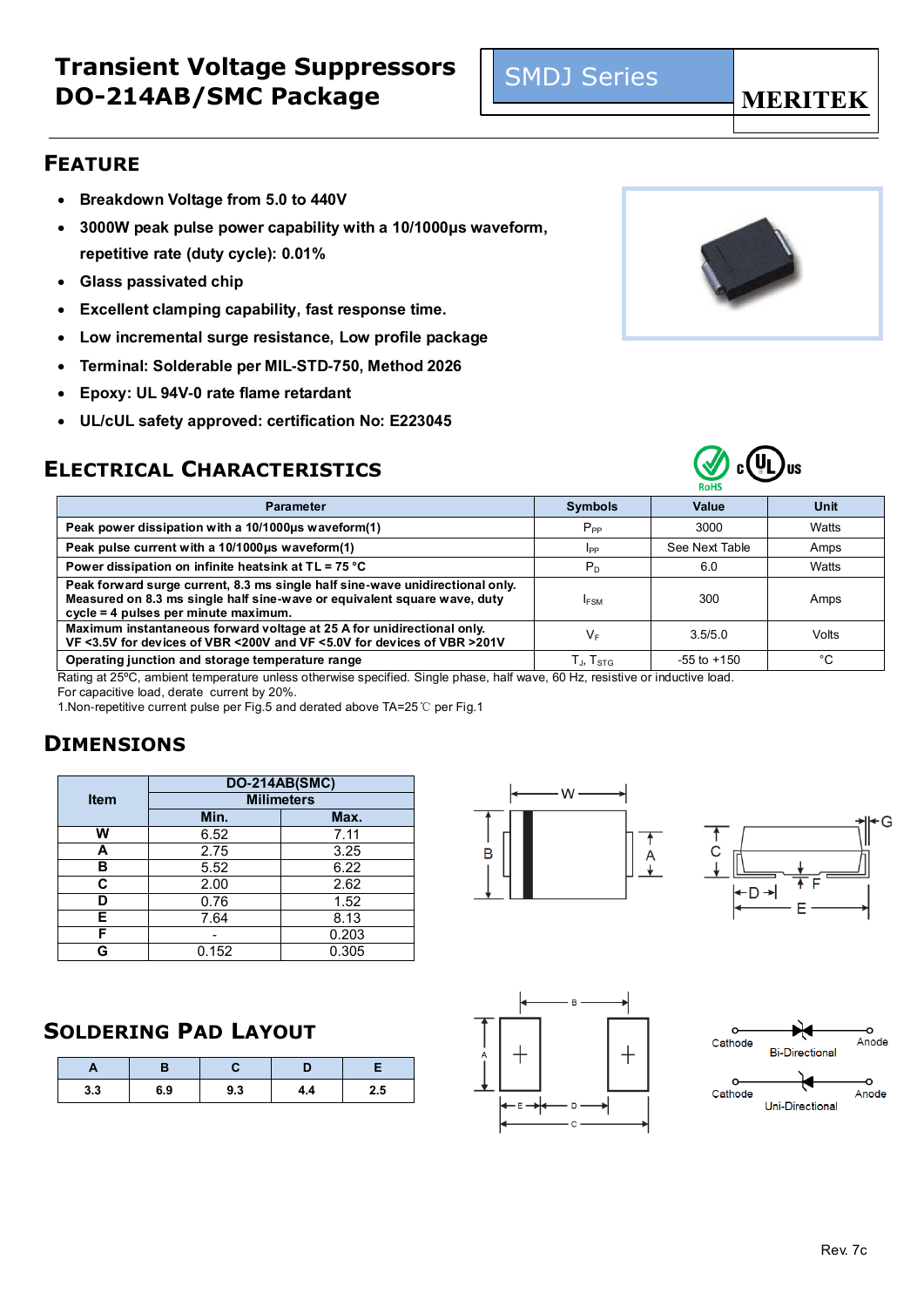- **Breakdown Voltage from 5.0 to 440V**
- **3000W peak pulse power capability with a 10/1000μs waveform, repetitive rate (duty cycle): 0.01%**
- **Glass passivated chip**
- **Excellent clamping capability, fast response time.**
- **Low incremental surge resistance, Low profile package**
- **Terminal: Solderable per MIL-STD-750, Method 2026**
- **Epoxy: UL 94V-0 rate flame retardant**
- **UL/cUL safety approved: certification No: E223045**

## **ELECTRICAL CHARACTERISTICS**

| <b>Parameter</b>                                                                                                                                                                                  | <b>Symbols</b>              | Value           | Unit  |
|---------------------------------------------------------------------------------------------------------------------------------------------------------------------------------------------------|-----------------------------|-----------------|-------|
| Peak power dissipation with a 10/1000us waveform(1)                                                                                                                                               | $P_{PP}$                    | 3000            | Watts |
| Peak pulse current with a 10/1000µs waveform(1)                                                                                                                                                   | IPP                         | See Next Table  | Amps  |
| Power dissipation on infinite heatsink at TL = 75 °C                                                                                                                                              | $P_D$                       | 6.0             | Watts |
| Peak forward surge current, 8.3 ms single half sine-wave unidirectional only.<br>Measured on 8.3 ms single half sine-wave or equivalent square wave, duty<br>cycle = 4 pulses per minute maximum. | <b>IFSM</b>                 | 300             | Amps  |
| Maximum instantaneous forward voltage at 25 A for unidirectional only.<br>VF <3.5V for devices of VBR <200V and VF <5.0V for devices of VBR >201V                                                 | $V_{F}$                     | 3.5/5.0         | Volts |
| Operating junction and storage temperature range                                                                                                                                                  | $T_{\rm J}$ , $T_{\rm STG}$ | $-55$ to $+150$ | °C    |

Rating at 25ºC, ambient temperature unless otherwise specified. Single phase, half wave, 60 Hz, resistive or inductive load.

For capacitive load, derate current by 20%.

1.Non-repetitive current pulse per Fig.5 and derated above TA=25℃ per Fig.1

### **DIMENSIONS**

|             | <b>DO-214AB(SMC)</b> |       |  |  |  |  |  |
|-------------|----------------------|-------|--|--|--|--|--|
| <b>Item</b> | <b>Milimeters</b>    |       |  |  |  |  |  |
|             | Min.                 | Max.  |  |  |  |  |  |
| w           | 6.52                 | 7.11  |  |  |  |  |  |
| А           | 2.75                 | 3.25  |  |  |  |  |  |
| в           | 5.52                 | 6.22  |  |  |  |  |  |
| C           | 2.00                 | 2.62  |  |  |  |  |  |
| D           | 0.76                 | 1.52  |  |  |  |  |  |
| Е           | 7.64                 | 8.13  |  |  |  |  |  |
| F           |                      | 0.203 |  |  |  |  |  |
|             | 0.152                | 0.305 |  |  |  |  |  |

### **SOLDERING PAD LAYOUT**

| Ē   | ı   |     |     |     |
|-----|-----|-----|-----|-----|
| 3.3 | 6.9 | 9.3 | 4.4 | 2.5 |



SMDJ Series









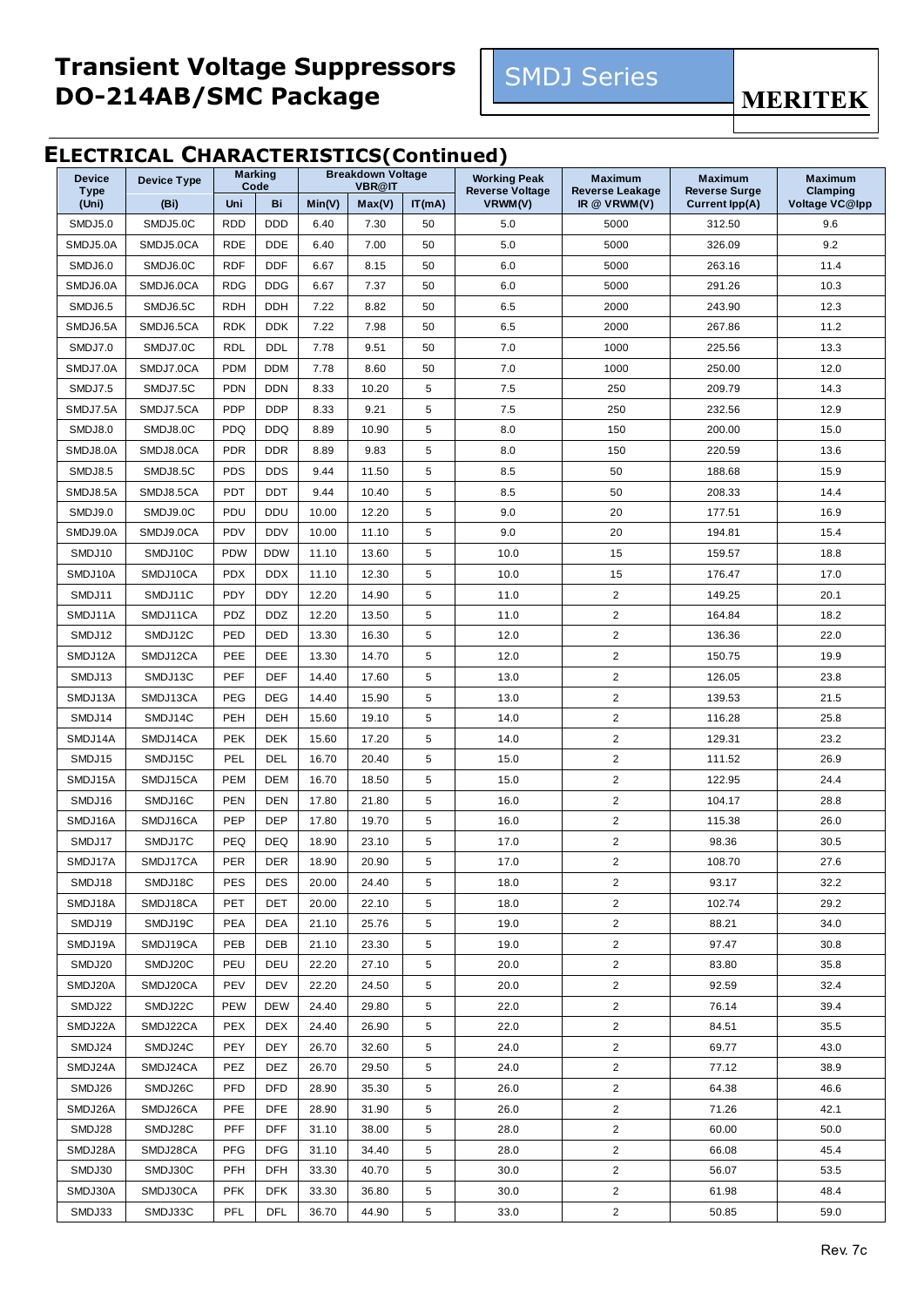

**MERITEK** 

#### **ELECTRICAL CHARACTERISTICS(Continued)**

| <b>Device</b> | Device Type |            | <b>Marking</b> |        | <b>Breakdown Voltage</b> | .      | <b>Working Peak</b>    | <b>Maximum</b>         | <b>Maximum</b>        | <b>Maximum</b> |
|---------------|-------------|------------|----------------|--------|--------------------------|--------|------------------------|------------------------|-----------------------|----------------|
| <b>Type</b>   |             |            | Code           |        | <b>VBR@IT</b>            |        | <b>Reverse Voltage</b> | <b>Reverse Leakage</b> | <b>Reverse Surge</b>  | Clamping       |
| (Uni)         | (Bi)        | Uni        | Bi             | Min(V) | Max(V)                   | IT(mA) | VRWM(V)                | IR $@$ VRWM(V)         | <b>Current Ipp(A)</b> | Voltage VC@Ipp |
| SMDJ5.0       | SMDJ5.0C    | <b>RDD</b> | <b>DDD</b>     | 6.40   | 7.30                     | 50     | 5.0                    | 5000                   | 312.50                | 9.6            |
| SMDJ5.0A      | SMDJ5.0CA   | <b>RDE</b> | <b>DDE</b>     | 6.40   | 7.00                     | 50     | 5.0                    | 5000                   | 326.09                | 9.2            |
| SMDJ6.0       | SMDJ6.0C    | <b>RDF</b> | <b>DDF</b>     | 6.67   | 8.15                     | 50     | 6.0                    | 5000                   | 263.16                | 11.4           |
| SMDJ6.0A      | SMDJ6.0CA   | <b>RDG</b> | <b>DDG</b>     | 6.67   | 7.37                     | 50     | 6.0                    | 5000                   | 291.26                | 10.3           |
| SMDJ6.5       | SMDJ6.5C    | <b>RDH</b> | <b>DDH</b>     | 7.22   | 8.82                     | 50     | 6.5                    | 2000                   | 243.90                | 12.3           |
| SMDJ6.5A      | SMDJ6.5CA   | <b>RDK</b> | <b>DDK</b>     | 7.22   | 7.98                     | 50     | 6.5                    | 2000                   | 267.86                | 11.2           |
| SMDJ7.0       | SMDJ7.0C    | <b>RDL</b> | <b>DDL</b>     | 7.78   | 9.51                     | 50     | 7.0                    | 1000                   | 225.56                | 13.3           |
| SMDJ7.0A      | SMDJ7.0CA   | <b>PDM</b> | <b>DDM</b>     | 7.78   | 8.60                     | 50     | 7.0                    | 1000                   | 250.00                | 12.0           |
| SMDJ7.5       | SMDJ7.5C    | <b>PDN</b> | <b>DDN</b>     | 8.33   | 10.20                    | 5      | 7.5                    | 250                    | 209.79                | 14.3           |
| SMDJ7.5A      | SMDJ7.5CA   | <b>PDP</b> | <b>DDP</b>     | 8.33   | 9.21                     | 5      | 7.5                    | 250                    | 232.56                | 12.9           |
| SMDJ8.0       | SMDJ8.0C    | <b>PDQ</b> | <b>DDQ</b>     | 8.89   | 10.90                    | 5      | 8.0                    | 150                    | 200.00                | 15.0           |
| SMDJ8.0A      | SMDJ8.0CA   | <b>PDR</b> | <b>DDR</b>     | 8.89   | 9.83                     | 5      | 8.0                    | 150                    | 220.59                | 13.6           |
| SMDJ8.5       | SMDJ8.5C    | <b>PDS</b> | <b>DDS</b>     | 9.44   | 11.50                    | 5      | 8.5                    | 50                     | 188.68                | 15.9           |
| SMDJ8.5A      | SMDJ8.5CA   | PDT        | DDT            | 9.44   | 10.40                    | 5      | 8.5                    | 50                     | 208.33                | 14.4           |
| SMDJ9.0       | SMDJ9.0C    | PDU        | <b>DDU</b>     | 10.00  | 12.20                    | 5      | 9.0                    | 20                     | 177.51                | 16.9           |
| SMDJ9.0A      | SMDJ9.0CA   | PDV        | <b>DDV</b>     | 10.00  | 11.10                    | 5      | 9.0                    | 20                     | 194.81                | 15.4           |
| SMDJ10        | SMDJ10C     | <b>PDW</b> | <b>DDW</b>     | 11.10  | 13.60                    | 5      | 10.0                   | 15                     | 159.57                | 18.8           |
| SMDJ10A       | SMDJ10CA    | <b>PDX</b> | <b>DDX</b>     | 11.10  | 12.30                    | 5      | 10.0                   | 15                     | 176.47                | 17.0           |
| SMDJ11        | SMDJ11C     | PDY        | <b>DDY</b>     | 12.20  | 14.90                    | 5      | 11.0                   | $\overline{2}$         | 149.25                | 20.1           |
| SMDJ11A       | SMDJ11CA    | PDZ        | <b>DDZ</b>     | 12.20  | 13.50                    | 5      | 11.0                   | $\overline{a}$         | 164.84                | 18.2           |
| SMDJ12        | SMDJ12C     | PED        | DED            | 13.30  | 16.30                    | 5      | 12.0                   | $\overline{c}$         | 136.36                | 22.0           |
| SMDJ12A       | SMDJ12CA    | PEE        | DEE            | 13.30  | 14.70                    | 5      | 12.0                   | $\overline{2}$         | 150.75                | 19.9           |
| SMDJ13        | SMDJ13C     | PEF        | DEF            | 14.40  | 17.60                    | 5      | 13.0                   | $\overline{c}$         | 126.05                | 23.8           |
| SMDJ13A       | SMDJ13CA    | PEG        | <b>DEG</b>     | 14.40  | 15.90                    | 5      | 13.0                   | $\overline{2}$         | 139.53                | 21.5           |
| SMDJ14        | SMDJ14C     | PEH        | DEH            | 15.60  | 19.10                    | 5      | 14.0                   | $\overline{2}$         | 116.28                | 25.8           |
| SMDJ14A       | SMDJ14CA    | <b>PEK</b> | <b>DEK</b>     | 15.60  | 17.20                    | 5      | 14.0                   | $\overline{2}$         | 129.31                | 23.2           |
| SMDJ15        | SMDJ15C     | PEL        | DEL            | 16.70  | 20.40                    | 5      | 15.0                   | $\overline{2}$         | 111.52                | 26.9           |
| SMDJ15A       | SMDJ15CA    | <b>PEM</b> | <b>DEM</b>     | 16.70  | 18.50                    | 5      | 15.0                   | $\overline{2}$         | 122.95                | 24.4           |
| SMDJ16        | SMDJ16C     | <b>PEN</b> | <b>DEN</b>     | 17.80  | 21.80                    | 5      | 16.0                   | $\overline{2}$         | 104.17                | 28.8           |
| SMDJ16A       | SMDJ16CA    | PEP        | <b>DEP</b>     | 17.80  | 19.70                    | 5      | 16.0                   | $\overline{2}$         | 115.38                | 26.0           |
| SMDJ17        | SMDJ17C     | PEQ        | DEQ            | 18.90  | 23.10                    | 5      | 17.0                   | $\overline{2}$         | 98.36                 | 30.5           |
| SMDJ17A       | SMDJ17CA    | PER        | DER            | 18.90  | 20.90                    | 5      | 17.0                   | 2                      | 108.70                | 27.6           |
| SMDJ18        | SMDJ18C     | <b>PES</b> | <b>DES</b>     | 20.00  | 24.40                    | 5      | 18.0                   | $\overline{2}$         | 93.17                 | 32.2           |
| SMDJ18A       | SMDJ18CA    | PET        | <b>DET</b>     | 20.00  | 22.10                    | 5      | 18.0                   | $\overline{2}$         | 102.74                | 29.2           |
| SMDJ19        | SMDJ19C     | <b>PEA</b> | <b>DEA</b>     | 21.10  | 25.76                    | 5      | 19.0                   | $\overline{a}$         | 88.21                 | 34.0           |
| SMDJ19A       | SMDJ19CA    | PEB        | DEB            | 21.10  | 23.30                    | 5      | 19.0                   | $\overline{2}$         | 97.47                 | 30.8           |
| SMDJ20        | SMDJ20C     | PEU        | DEU            | 22.20  | 27.10                    | 5      | 20.0                   | $\overline{a}$         | 83.80                 | 35.8           |
| SMDJ20A       | SMDJ20CA    | <b>PEV</b> | DEV            | 22.20  | 24.50                    | 5      | 20.0                   | $\overline{2}$         | 92.59                 | 32.4           |
| SMDJ22        | SMDJ22C     | <b>PEW</b> | <b>DEW</b>     | 24.40  | 29.80                    | 5      | 22.0                   | $\overline{2}$         | 76.14                 | 39.4           |
| SMDJ22A       | SMDJ22CA    | <b>PEX</b> | DEX            | 24.40  | 26.90                    | 5      | 22.0                   | $\overline{2}$         | 84.51                 | 35.5           |
| SMDJ24        | SMDJ24C     | PEY        | DEY            | 26.70  | 32.60                    | 5      | 24.0                   | $\overline{2}$         | 69.77                 | 43.0           |
| SMDJ24A       | SMDJ24CA    | PEZ        | DEZ            | 26.70  | 29.50                    | 5      | 24.0                   | $\overline{c}$         | 77.12                 | 38.9           |
| SMDJ26        | SMDJ26C     | PFD        | DFD            | 28.90  | 35.30                    | 5      | 26.0                   | $\overline{2}$         | 64.38                 | 46.6           |
| SMDJ26A       | SMDJ26CA    | PFE        | <b>DFE</b>     | 28.90  | 31.90                    | 5      | 26.0                   | $\overline{a}$         | 71.26                 | 42.1           |
| SMDJ28        | SMDJ28C     | PFF        | <b>DFF</b>     | 31.10  | 38.00                    | 5      | 28.0                   | $\overline{2}$         | 60.00                 | 50.0           |
| SMDJ28A       | SMDJ28CA    | <b>PFG</b> | <b>DFG</b>     | 31.10  | 34.40                    | 5      | 28.0                   | $\overline{2}$         | 66.08                 | 45.4           |
| SMDJ30        | SMDJ30C     | <b>PFH</b> | DFH            | 33.30  | 40.70                    | 5      | 30.0                   | $\overline{2}$         | 56.07                 | 53.5           |
| SMDJ30A       | SMDJ30CA    | <b>PFK</b> | <b>DFK</b>     | 33.30  | 36.80                    | 5      | 30.0                   | $\overline{2}$         | 61.98                 | 48.4           |
| SMDJ33        | SMDJ33C     | PFL        | DFL            | 36.70  | 44.90                    | 5      | 33.0                   | $\overline{2}$         | 50.85                 | 59.0           |
|               |             |            |                |        |                          |        |                        |                        |                       |                |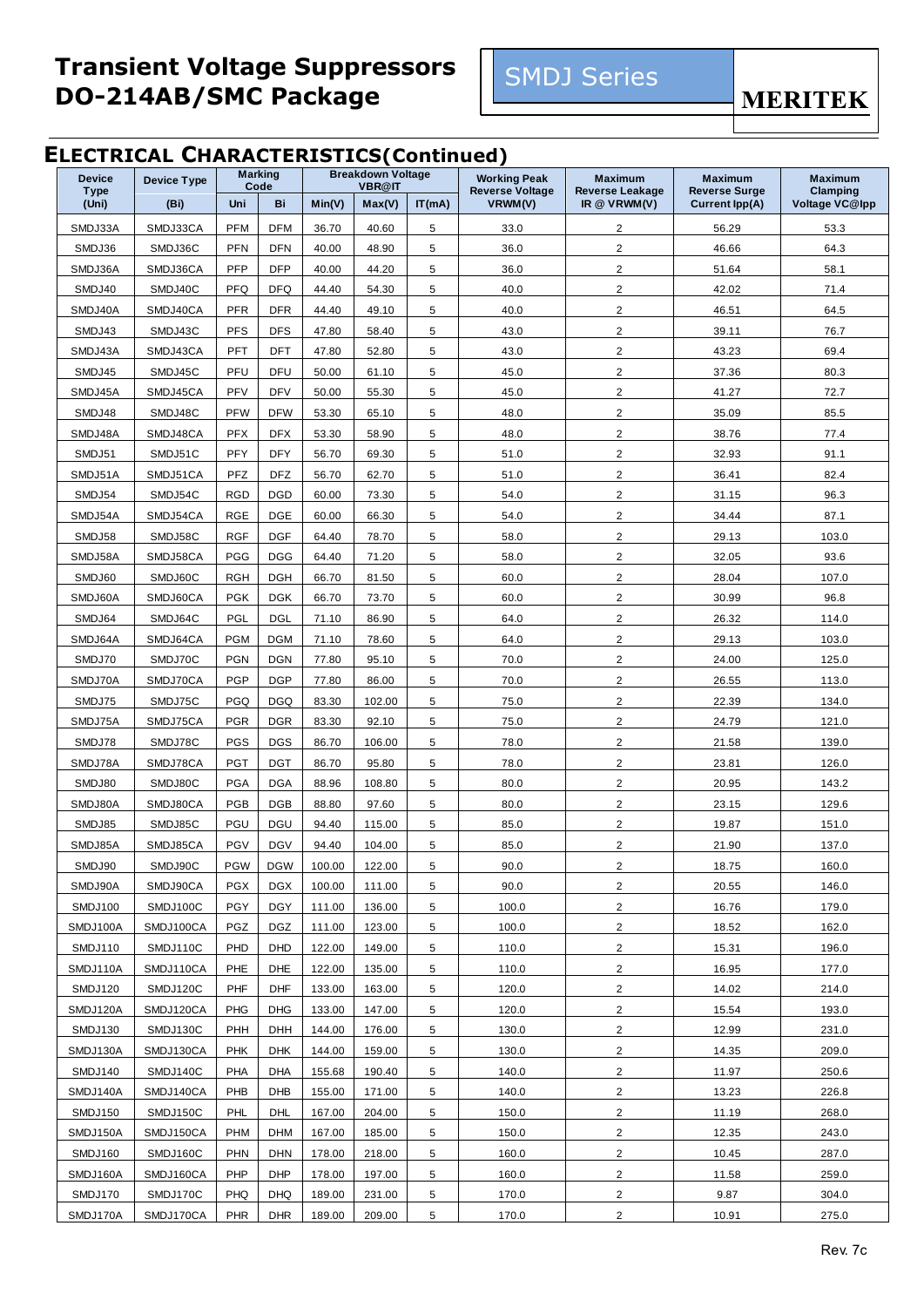

**MERITEK** 

#### **ELECTRICAL CHARACTERISTICS(Continued)**

| <b>Device</b> | <b>Device Type</b> | <b>Marking</b> |            |        | <b>Breakdown Voltage</b> |        | <b>Working Peak</b>    | <b>Maximum</b>          | <b>Maximum</b>        | <b>Maximum</b> |
|---------------|--------------------|----------------|------------|--------|--------------------------|--------|------------------------|-------------------------|-----------------------|----------------|
| <b>Type</b>   |                    |                | Code       |        | <b>VBR@IT</b>            |        | <b>Reverse Voltage</b> | <b>Reverse Leakage</b>  | <b>Reverse Surge</b>  | Clamping       |
| (Uni)         | (Bi)               | Uni            | Bi         | Min(V) | Max(V)                   | IT(mA) | VRWM(V)                | IR $@$ VRWM(V)          | <b>Current lpp(A)</b> | Voltage VC@Ipp |
| SMDJ33A       | SMDJ33CA           | <b>PFM</b>     | <b>DFM</b> | 36.70  | 40.60                    | 5      | 33.0                   | 2                       | 56.29                 | 53.3           |
| SMDJ36        | SMDJ36C            | <b>PFN</b>     | <b>DFN</b> | 40.00  | 48.90                    | 5      | 36.0                   | $\overline{2}$          | 46.66                 | 64.3           |
| SMDJ36A       | SMDJ36CA           | <b>PFP</b>     | <b>DFP</b> | 40.00  | 44.20                    | 5      | 36.0                   | 2                       | 51.64                 | 58.1           |
| SMDJ40        | SMDJ40C            | <b>PFQ</b>     | <b>DFQ</b> | 44.40  | 54.30                    | 5      | 40.0                   | $\overline{2}$          | 42.02                 | 71.4           |
| SMDJ40A       | SMDJ40CA           | <b>PFR</b>     | <b>DFR</b> | 44.40  | 49.10                    | 5      | 40.0                   | $\overline{2}$          | 46.51                 | 64.5           |
| SMDJ43        | SMDJ43C            | <b>PFS</b>     | <b>DFS</b> | 47.80  | 58.40                    | 5      | 43.0                   | 2                       | 39.11                 | 76.7           |
| SMDJ43A       | SMDJ43CA           | PFT            | <b>DFT</b> | 47.80  | 52.80                    | 5      | 43.0                   | $\overline{2}$          | 43.23                 | 69.4           |
| SMDJ45        | SMDJ45C            | PFU            | DFU        | 50.00  | 61.10                    | 5      | 45.0                   | $\overline{2}$          | 37.36                 | 80.3           |
| SMDJ45A       | SMDJ45CA           | PFV            | <b>DFV</b> | 50.00  | 55.30                    | 5      | 45.0                   | $\overline{2}$          | 41.27                 | 72.7           |
| SMDJ48        | SMDJ48C            | <b>PFW</b>     | <b>DFW</b> | 53.30  | 65.10                    | 5      | 48.0                   | $\overline{2}$          | 35.09                 | 85.5           |
| SMDJ48A       | SMDJ48CA           | <b>PFX</b>     | <b>DFX</b> | 53.30  | 58.90                    | 5      | 48.0                   | $\overline{2}$          | 38.76                 | 77.4           |
| SMDJ51        | SMDJ51C            | PFY            | <b>DFY</b> | 56.70  | 69.30                    | 5      | 51.0                   | 2                       | 32.93                 | 91.1           |
| SMDJ51A       | SMDJ51CA           | PFZ            | <b>DFZ</b> | 56.70  | 62.70                    | 5      | 51.0                   | $\overline{2}$          | 36.41                 | 82.4           |
| SMDJ54        | SMDJ54C            | <b>RGD</b>     | <b>DGD</b> | 60.00  | 73.30                    | 5      | 54.0                   | $\overline{2}$          | 31.15                 | 96.3           |
| SMDJ54A       | SMDJ54CA           | <b>RGE</b>     | <b>DGE</b> | 60.00  | 66.30                    | 5      | 54.0                   | $\overline{\mathbf{c}}$ | 34.44                 | 87.1           |
| SMDJ58        | SMDJ58C            | <b>RGF</b>     | <b>DGF</b> | 64.40  | 78.70                    | 5      | 58.0                   | 2                       | 29.13                 | 103.0          |
| SMDJ58A       | SMDJ58CA           | <b>PGG</b>     | <b>DGG</b> | 64.40  | 71.20                    | 5      | 58.0                   | $\overline{2}$          | 32.05                 | 93.6           |
| SMDJ60        | SMDJ60C            | <b>RGH</b>     | <b>DGH</b> | 66.70  | 81.50                    | 5      | 60.0                   | $\overline{2}$          | 28.04                 | 107.0          |
| SMDJ60A       | SMDJ60CA           | <b>PGK</b>     | <b>DGK</b> | 66.70  | 73.70                    | 5      | 60.0                   | $\overline{2}$          | 30.99                 | 96.8           |
| SMDJ64        | SMDJ64C            | PGL            | DGL        | 71.10  | 86.90                    | 5      | 64.0                   | $\overline{2}$          | 26.32                 | 114.0          |
| SMDJ64A       | SMDJ64CA           | <b>PGM</b>     | <b>DGM</b> | 71.10  | 78.60                    | 5      | 64.0                   | $\overline{2}$          | 29.13                 | 103.0          |
| SMDJ70        | SMDJ70C            | <b>PGN</b>     | <b>DGN</b> | 77.80  | 95.10                    | 5      | 70.0                   | $\overline{c}$          | 24.00                 | 125.0          |
| SMDJ70A       | SMDJ70CA           | <b>PGP</b>     | <b>DGP</b> | 77.80  | 86.00                    | 5      | 70.0                   | $\overline{2}$          | 26.55                 | 113.0          |
| SMDJ75        | SMDJ75C            | <b>PGQ</b>     | <b>DGQ</b> | 83.30  | 102.00                   | 5      | 75.0                   | $\overline{2}$          | 22.39                 | 134.0          |
| SMDJ75A       | SMDJ75CA           | <b>PGR</b>     | <b>DGR</b> | 83.30  | 92.10                    | 5      | 75.0                   | 2                       | 24.79                 | 121.0          |
| SMDJ78        | SMDJ78C            | <b>PGS</b>     | <b>DGS</b> | 86.70  | 106.00                   | 5      | 78.0                   | $\overline{c}$          | 21.58                 | 139.0          |
| SMDJ78A       | SMDJ78CA           | <b>PGT</b>     | <b>DGT</b> | 86.70  | 95.80                    | 5      | 78.0                   | $\overline{2}$          | 23.81                 | 126.0          |
| SMDJ80        | SMDJ80C            | <b>PGA</b>     | <b>DGA</b> | 88.96  | 108.80                   | 5      | 80.0                   | $\overline{2}$          | 20.95                 | 143.2          |
| SMDJ80A       | SMDJ80CA           | PGB            | <b>DGB</b> | 88.80  | 97.60                    | 5      | 80.0                   | $\overline{2}$          | 23.15                 | 129.6          |
| SMDJ85        | SMDJ85C            | PGU            | DGU        | 94.40  | 115.00                   | 5      | 85.0                   | $\overline{2}$          | 19.87                 | 151.0          |
| SMDJ85A       | SMDJ85CA           | PGV            | <b>DGV</b> | 94.40  | 104.00                   | 5      | 85.0                   | $\overline{2}$          | 21.90                 | 137.0          |
| SMDJ90        | SMDJ90C            | <b>PGW</b>     | <b>DGW</b> | 100.00 | 122.00                   | 5      | 90.0                   | $\overline{2}$          | 18.75                 | 160.0          |
| SMDJ90A       | SMDJ90CA           | <b>PGX</b>     | <b>DGX</b> | 100.00 | 111.00                   | 5      | 90.0                   | $\overline{2}$          | 20.55                 | 146.0          |
| SMDJ100       | SMDJ100C           | PGY            | <b>DGY</b> | 111.00 | 136.00                   | 5      | 100.0                  | 2                       | 16.76                 | 179.0          |
| SMDJ100A      | SMDJ100CA          | PGZ            | <b>DGZ</b> | 111.00 | 123.00                   | 5      | 100.0                  | $\overline{2}$          | 18.52                 | 162.0          |
| SMDJ110       | SMDJ110C           | PHD            | <b>DHD</b> | 122.00 | 149.00                   | 5      | 110.0                  | $\overline{\mathbf{c}}$ | 15.31                 | 196.0          |
| SMDJ110A      | SMDJ110CA          | PHE            | DHE        | 122.00 | 135.00                   | 5      | 110.0                  | $\overline{2}$          | 16.95                 | 177.0          |
| SMDJ120       | SMDJ120C           | PHF            | <b>DHF</b> | 133.00 | 163.00                   | 5      | 120.0                  | $\overline{2}$          | 14.02                 | 214.0          |
| SMDJ120A      | SMDJ120CA          | <b>PHG</b>     | <b>DHG</b> | 133.00 | 147.00                   | 5      | 120.0                  | $\overline{c}$          | 15.54                 | 193.0          |
| SMDJ130       | SMDJ130C           | PHH            | DHH        | 144.00 | 176.00                   | 5      | 130.0                  | $\overline{c}$          | 12.99                 | 231.0          |
| SMDJ130A      | SMDJ130CA          | <b>PHK</b>     | <b>DHK</b> | 144.00 | 159.00                   | 5      | 130.0                  | $\overline{c}$          | 14.35                 | 209.0          |
| SMDJ140       | SMDJ140C           | PHA            | DHA        | 155.68 | 190.40                   | 5      | 140.0                  | $\overline{2}$          | 11.97                 | 250.6          |
| SMDJ140A      | SMDJ140CA          | PHB            | DHB        | 155.00 | 171.00                   | 5      | 140.0                  | $\overline{2}$          | 13.23                 | 226.8          |
| SMDJ150       | SMDJ150C           | PHL            | DHL        | 167.00 | 204.00                   | 5      | 150.0                  | $\overline{2}$          | 11.19                 | 268.0          |
| SMDJ150A      | SMDJ150CA          | <b>PHM</b>     | <b>DHM</b> | 167.00 | 185.00                   | 5      | 150.0                  | $\overline{2}$          | 12.35                 | 243.0          |
| SMDJ160       | SMDJ160C           | <b>PHN</b>     | <b>DHN</b> | 178.00 | 218.00                   | 5      | 160.0                  | $\overline{\mathbf{c}}$ | 10.45                 | 287.0          |
| SMDJ160A      | SMDJ160CA          | PHP            | <b>DHP</b> | 178.00 | 197.00                   | 5      | 160.0                  | $\overline{c}$          | 11.58                 | 259.0          |
| SMDJ170       | SMDJ170C           | PHQ            | <b>DHQ</b> | 189.00 | 231.00                   | 5      | 170.0                  | $\overline{\mathbf{c}}$ | 9.87                  | 304.0          |
| SMDJ170A      | SMDJ170CA          | <b>PHR</b>     | <b>DHR</b> | 189.00 | 209.00                   | 5      | 170.0                  | 2                       | 10.91                 | 275.0          |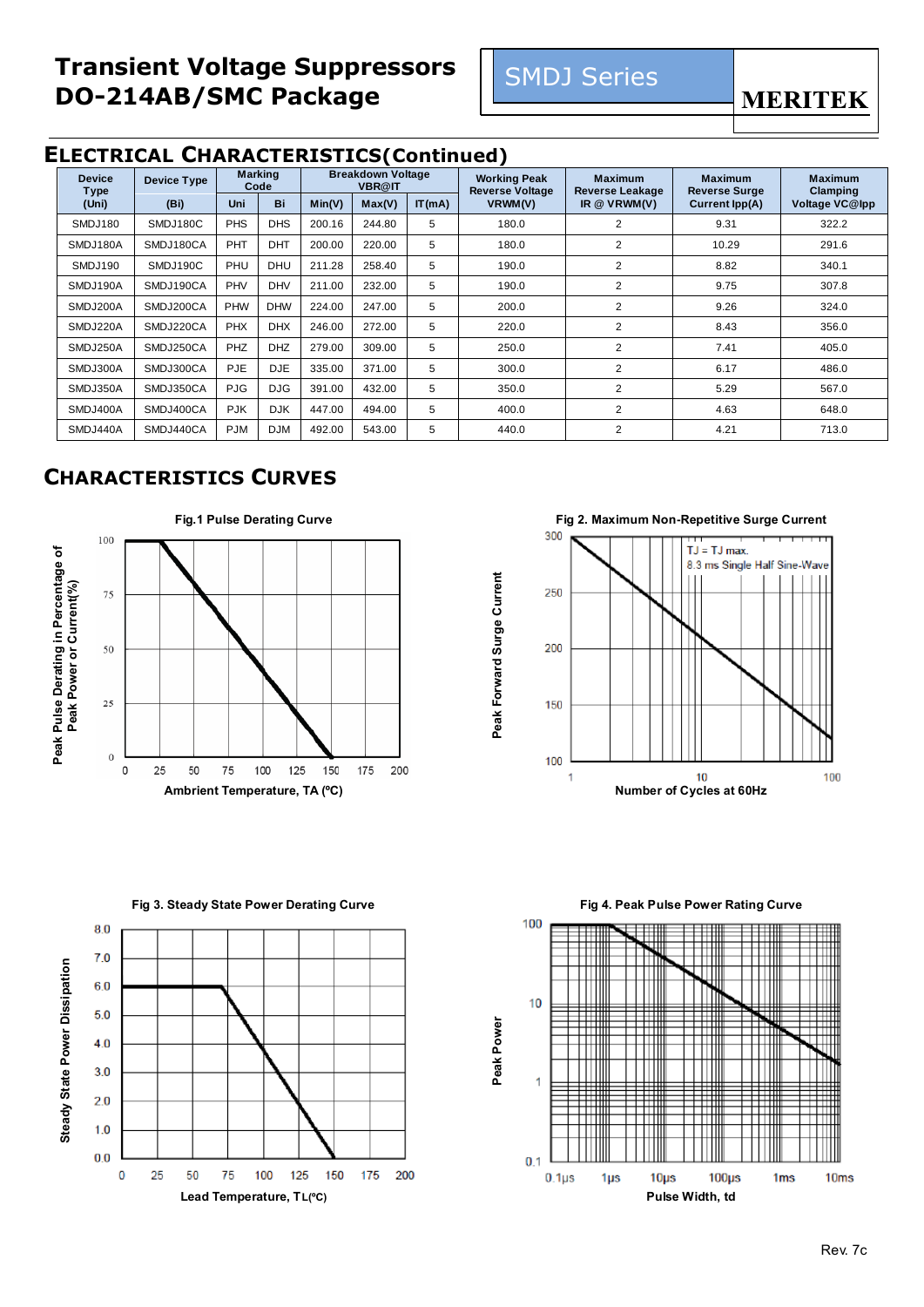

**MERITEK** 

#### **ELECTRICAL CHARACTERISTICS(Continued)**

| <b>Device</b><br><b>Type</b> | Device Type | <b>Marking</b><br>Code |            |        | <b>Breakdown Voltage</b><br><b>VBR@IT</b> |        | <b>Working Peak</b><br><b>Reverse Voltage</b> | <b>Maximum</b><br><b>Reverse Leakage</b> | <b>Maximum</b><br><b>Reverse Surge</b> | <b>Maximum</b><br>Clamping |
|------------------------------|-------------|------------------------|------------|--------|-------------------------------------------|--------|-----------------------------------------------|------------------------------------------|----------------------------------------|----------------------------|
| (Uni)                        | (Bi)        | <b>Uni</b>             | Bi         | Min(V) | Max(V)                                    | IT(mA) | VRWM(V)                                       | IR $@$ VRWM(V)                           | Current Ipp(A)                         | Voltage VC@Ipp             |
| SMDJ180                      | SMDJ180C    | <b>PHS</b>             | <b>DHS</b> | 200.16 | 244.80                                    | 5      | 180.0                                         | $\overline{2}$                           | 9.31                                   | 322.2                      |
| SMDJ180A                     | SMDJ180CA   | PHT                    | <b>DHT</b> | 200.00 | 220.00                                    | 5      | 180.0                                         | $\overline{2}$                           | 10.29                                  | 291.6                      |
| SMDJ190                      | SMDJ190C    | PHU                    | <b>DHU</b> | 211.28 | 258.40                                    | 5      | 190.0                                         | $\overline{2}$                           | 8.82                                   | 340.1                      |
| SMDJ190A                     | SMDJ190CA   | PHV                    | <b>DHV</b> | 211.00 | 232.00                                    | 5      | 190.0                                         | $\overline{2}$                           | 9.75                                   | 307.8                      |
| SMDJ200A                     | SMDJ200CA   | <b>PHW</b>             | <b>DHW</b> | 224.00 | 247.00                                    | 5      | 200.0                                         | $\overline{2}$                           | 9.26                                   | 324.0                      |
| SMDJ220A                     | SMDJ220CA   | <b>PHX</b>             | <b>DHX</b> | 246.00 | 272.00                                    | 5      | 220.0                                         | $\overline{2}$                           | 8.43                                   | 356.0                      |
| SMDJ250A                     | SMDJ250CA   | PHZ                    | <b>DHZ</b> | 279.00 | 309.00                                    | 5      | 250.0                                         | $\overline{2}$                           | 7.41                                   | 405.0                      |
| SMDJ300A                     | SMDJ300CA   | <b>PJE</b>             | <b>DJE</b> | 335.00 | 371.00                                    | 5      | 300.0                                         | $\overline{2}$                           | 6.17                                   | 486.0                      |
| SMDJ350A                     | SMDJ350CA   | <b>PJG</b>             | <b>DJG</b> | 391.00 | 432.00                                    | 5      | 350.0                                         | 2                                        | 5.29                                   | 567.0                      |
| SMDJ400A                     | SMDJ400CA   | <b>PJK</b>             | <b>DJK</b> | 447.00 | 494.00                                    | 5      | 400.0                                         | $\overline{2}$                           | 4.63                                   | 648.0                      |
| SMDJ440A                     | SMDJ440CA   | <b>PJM</b>             | <b>DJM</b> | 492.00 | 543.00                                    | 5      | 440.0                                         | $\overline{2}$                           | 4.21                                   | 713.0                      |

#### **CHARACTERISTICS CURVES**



Peak Forward Surge Current **Peak Forward Surge Current**







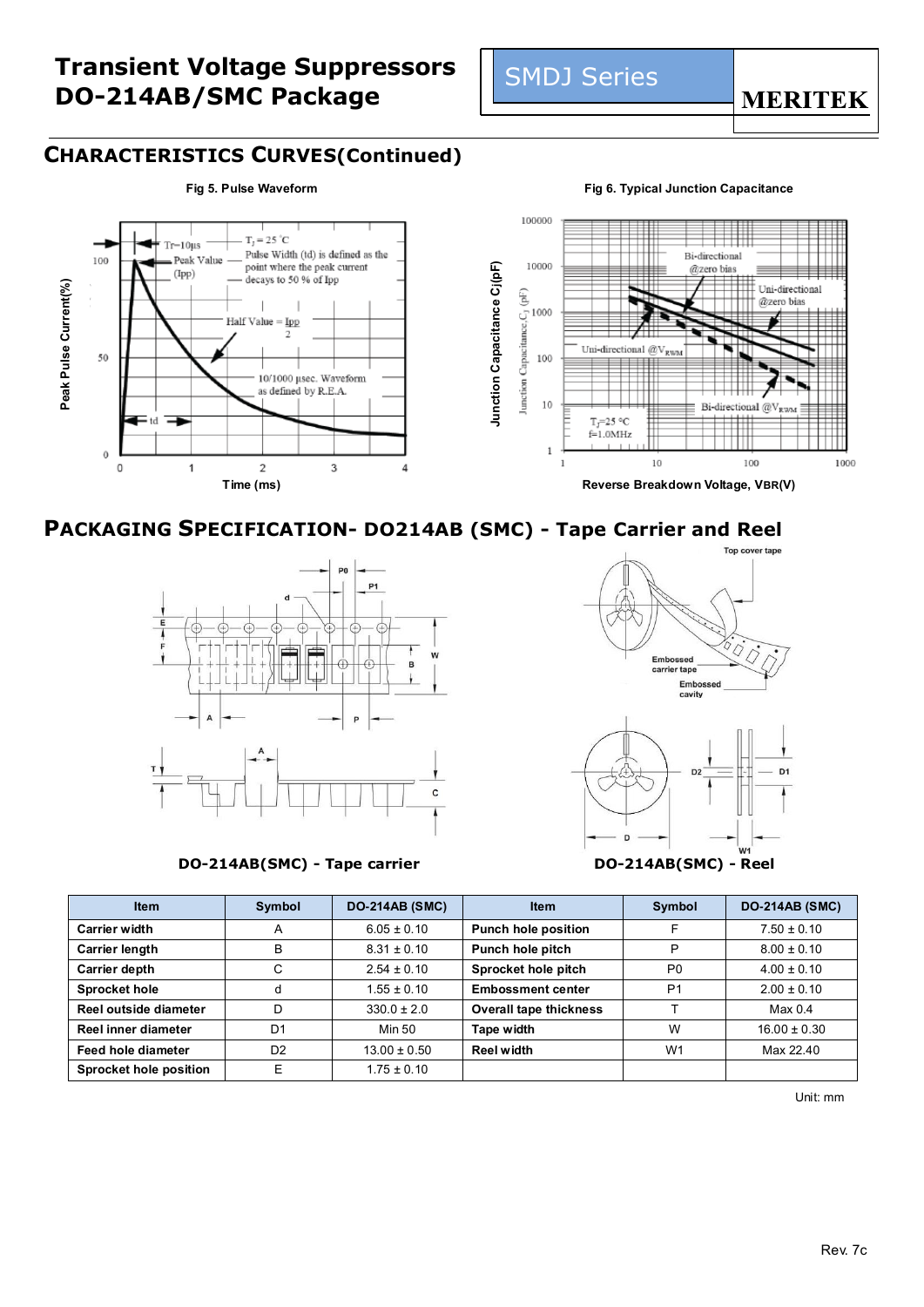### **CHARACTERISTICS CURVES(Continued)**



**Peak Pulse Current(%)**

Peak Pulse Current(%)

100

50

 $\theta$ 

 $\mathbf 0$ 

#### **Fig 5. Pulse Waveform Fig 6. Typical Junction Capacitance**

**MERITEK** 



SMDJ Series

**PACKAGING SPECIFICATION-** DO214AB (SMC) - Tape Carrier and Reel



**DO-214AB(SMC) - Tape carrier DO-214AB(SMC) - Reel**



| <b>Item</b>                   | <b>DO-214AB (SMC)</b><br>Symbol |                  | <b>Item</b>                   | Symbol         | <b>DO-214AB (SMC)</b> |
|-------------------------------|---------------------------------|------------------|-------------------------------|----------------|-----------------------|
| <b>Carrier width</b>          | A                               | $6.05 \pm 0.10$  | <b>Punch hole position</b>    |                | $7.50 \pm 0.10$       |
| <b>Carrier length</b>         | B                               | $8.31 \pm 0.10$  | Punch hole pitch              | D              | $8.00 \pm 0.10$       |
| <b>Carrier depth</b>          | C                               | $2.54 \pm 0.10$  | Sprocket hole pitch           | P <sub>0</sub> | $4.00 \pm 0.10$       |
| <b>Sprocket hole</b>          | d                               | $1.55 \pm 0.10$  | <b>Embossment center</b>      | P <sub>1</sub> | $2.00 \pm 0.10$       |
| Reel outside diameter         | D                               | $330.0 \pm 2.0$  | <b>Overall tape thickness</b> |                | Max <sub>0.4</sub>    |
| Reel inner diameter           | D <sub>1</sub>                  | Min 50           | Tape width                    | W              | $16.00 \pm 0.30$      |
| Feed hole diameter            | D <sub>2</sub>                  | $13.00 \pm 0.50$ | <b>Reel width</b>             | W <sub>1</sub> | Max 22.40             |
| <b>Sprocket hole position</b> | E                               | $1.75 \pm 0.10$  |                               |                |                       |

Unit: mm